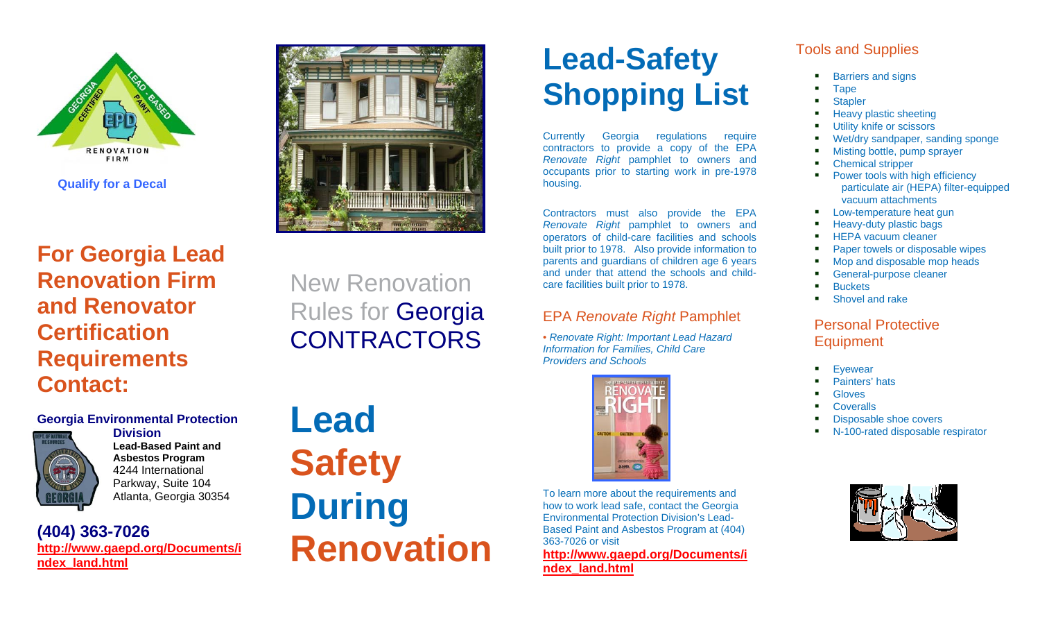

**For Georgia Lead Renovation Firm and Renovator Certification Requirements Contact:**

# marco

## New Renovation Rules for Georgia **CONTRACTORS**

### **Georgia Environmental Protection**



**Division Lead-Based Paint and Asbestos Program**  4244 International Parkway, Suite 104 Atlanta, Georgia 30354

**(404) 363-7026 http://www.gaepd.org/Documents/i ndex\_land.html**

# **Lead Safety During Renovation**

# **Lead-Safety Shopping List**

Currently Georgia regulations require contractors to provide a copy of the EPA *Renovate Right* pamphlet to owners and occupants prior to starting work in pre-1978 housing.

Contractors must also provide the EPA *Renovate Right* pamphlet to owners and operators of child-care facilities and schools built prior to 1978. Also provide information to parents and guardians of children age 6 years and under that attend the schools and childcare facilities built prior to 1978.

### EPA *Renovate Right* Pamphlet

• *Renovate Right: Important Lead Hazard Information for Families, Child Care Providers and Schools* 



To learn more about the requirements and how to work lead safe, contact the Georgia Environmental Protection Division's Lead-Based Paint and Asbestos Program at (404) 363-7026 or visit

**http://www.gaepd.org/Documents/i ndex\_land.html**

### Tools and Supplies

- and the Barriers and signs
- and the Tape
- and the **Stapler**
- m and Heavy plastic sheeting
- m and Utility knife or scissors
- m and Wet/dry sandpaper, sanding sponge
- m and Misting bottle, pump sprayer
- m and Chemical stripper
- m and Power tools with high efficiency particulate air (HEPA) filter-equipped vacuum attachments
- . . Low-temperature heat gun
- . . Heavy-duty plastic bags
- . . HEPA vacuum cleaner
- . . Paper towels or disposable wipes
- . . Mop and disposable mop heads
- . . General-purpose cleaner
- . . **Buckets**
- . . Shovel and rake

### Personal Protective **Equipment**

- and the **Evewear**
- and the Painters' hats
- and the **Gloves**
- and the **Coveralls**
- and the Disposable shoe covers
- N-100-rated disposable respirator